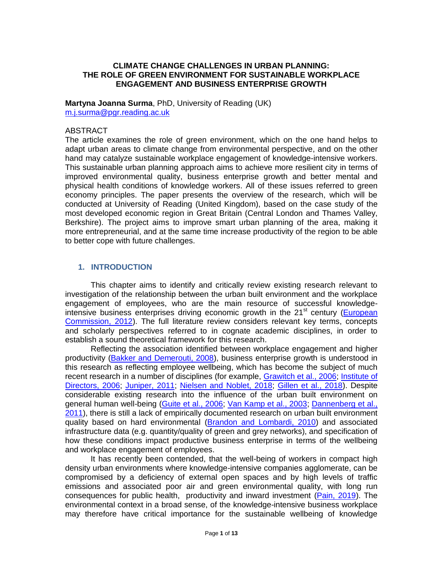## **CLIMATE CHANGE CHALLENGES IN URBAN PLANNING: THE ROLE OF GREEN ENVIRONMENT FOR SUSTAINABLE WORKPLACE ENGAGEMENT AND BUSINESS ENTERPRISE GROWTH**

**Martyna Joanna Surma**, PhD, University of Reading (UK) [m.j.surma@pgr.reading.ac.uk](mailto:m.j.surma@pgr.reading.ac.uk)

## ABSTRACT

The article examines the role of green environment, which on the one hand helps to adapt urban areas to climate change from environmental perspective, and on the other hand may catalyze sustainable workplace engagement of knowledge-intensive workers. This sustainable urban planning approach aims to achieve more resilient city in terms of improved environmental quality, business enterprise growth and better mental and physical health conditions of knowledge workers. All of these issues referred to green economy principles. The paper presents the overview of the research, which will be conducted at University of Reading (United Kingdom), based on the case study of the most developed economic region in Great Britain (Central London and Thames Valley, Berkshire). The project aims to improve smart urban planning of the area, making it more entrepreneurial, and at the same time increase productivity of the region to be able to better cope with future challenges.

## **1. INTRODUCTION**

This chapter aims to identify and critically review existing research relevant to investigation of the relationship between the urban built environment and the workplace engagement of employees, who are the main resource of successful knowledgeintensive business enterprises driving economic growth in the  $21<sup>st</sup>$  century (European [Commission, 2012\)](#page-8-0). The full literature review considers relevant key terms, concepts and scholarly perspectives referred to in cognate academic disciplines, in order to establish a sound theoretical framework for this research.

Reflecting the association identified between workplace engagement and higher productivity [\(Bakker and Demerouti, 2008\)](#page-7-0), business enterprise growth is understood in this research as reflecting employee wellbeing, which has become the subject of much recent research in a number of disciplines (for example, [Grawitch et al., 2006;](#page-9-0) [Institute of](#page-9-1)  [Directors, 2006;](#page-9-1) [Juniper, 2011;](#page-9-2) [Nielsen and Noblet, 2018;](#page-10-0) [Gillen et al., 2018\)](#page-9-3). Despite considerable existing research into the influence of the urban built environment on general human well-being [\(Guite et al., 2006;](#page-9-4) [Van Kamp et al., 2003;](#page-12-0) [Dannenberg et al.,](#page-8-1)  [2011\)](#page-8-1), there is still a lack of empirically documented research on urban built environment quality based on hard environmental [\(Brandon and Lombardi, 2010\)](#page-8-2) and associated infrastructure data (e.g. quantity/quality of green and grey networks), and specification of how these conditions impact productive business enterprise in terms of the wellbeing and workplace engagement of employees.

It has recently been contended, that the well-being of workers in compact high density urban environments where knowledge-intensive companies agglomerate, can be compromised by a deficiency of external open spaces and by high levels of traffic emissions and associated poor air and green environmental quality, with long run consequences for public health, productivity and inward investment [\(Pain, 2019\)](#page-10-1). The environmental context in a broad sense, of the knowledge-intensive business workplace may therefore have critical importance for the sustainable wellbeing of knowledge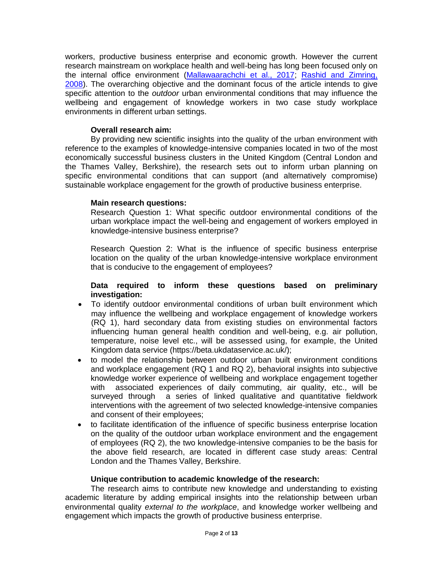workers, productive business enterprise and economic growth. However the current research mainstream on workplace health and well-being has long been focused only on the internal office environment [\(Mallawaarachchi et al., 2017;](#page-10-2) [Rashid and Zimring,](#page-11-0)  [2008\)](#page-11-0). The overarching objective and the dominant focus of the article intends to give specific attention to the *outdoor* urban environmental conditions that may influence the wellbeing and engagement of knowledge workers in two case study workplace environments in different urban settings.

# **Overall research aim:**

By providing new scientific insights into the quality of the urban environment with reference to the examples of knowledge-intensive companies located in two of the most economically successful business clusters in the United Kingdom (Central London and the Thames Valley, Berkshire), the research sets out to inform urban planning on specific environmental conditions that can support (and alternatively compromise) sustainable workplace engagement for the growth of productive business enterprise.

## **Main research questions:**

Research Question 1: What specific outdoor environmental conditions of the urban workplace impact the well-being and engagement of workers employed in knowledge-intensive business enterprise?

Research Question 2: What is the influence of specific business enterprise location on the quality of the urban knowledge-intensive workplace environment that is conducive to the engagement of employees?

## **Data required to inform these questions based on preliminary investigation:**

- To identify outdoor environmental conditions of urban built environment which may influence the wellbeing and workplace engagement of knowledge workers (RQ 1), hard secondary data from existing studies on environmental factors influencing human general health condition and well-being, e.g. air pollution, temperature, noise level etc., will be assessed using, for example, the United Kingdom data service (https://beta.ukdataservice.ac.uk/);
- to model the relationship between outdoor urban built environment conditions and workplace engagement (RQ 1 and RQ 2), behavioral insights into subjective knowledge worker experience of wellbeing and workplace engagement together with associated experiences of daily commuting, air quality, etc., will be surveyed through a series of linked qualitative and quantitative fieldwork interventions with the agreement of two selected knowledge-intensive companies and consent of their employees;
- to facilitate identification of the influence of specific business enterprise location on the quality of the outdoor urban workplace environment and the engagement of employees (RQ 2), the two knowledge-intensive companies to be the basis for the above field research, are located in different case study areas: Central London and the Thames Valley, Berkshire.

## **Unique contribution to academic knowledge of the research:**

The research aims to contribute new knowledge and understanding to existing academic literature by adding empirical insights into the relationship between urban environmental quality *external to the workplace*, and knowledge worker wellbeing and engagement which impacts the growth of productive business enterprise.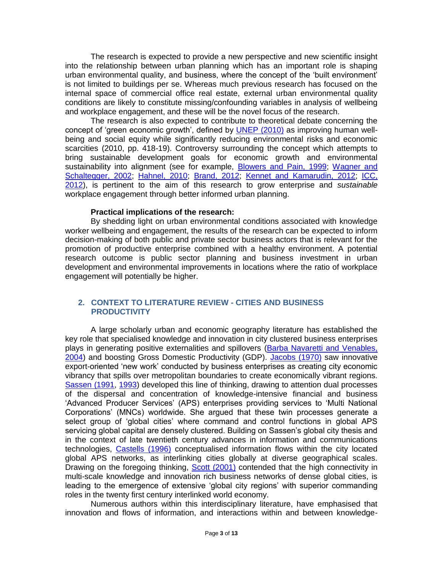The research is expected to provide a new perspective and new scientific insight into the relationship between urban planning which has an important role is shaping urban environmental quality, and business, where the concept of the 'built environment' is not limited to buildings per se. Whereas much previous research has focused on the internal space of commercial office real estate, external urban environmental quality conditions are likely to constitute missing/confounding variables in analysis of wellbeing and workplace engagement, and these will be the novel focus of the research.

The research is also expected to contribute to theoretical debate concerning the concept of 'green economic growth', defined by [UNEP \(2010\)](#page-11-1) as improving human wellbeing and social equity while significantly reducing environmental risks and economic scarcities (2010, pp. 418-19). Controversy surrounding the concept which attempts to bring sustainable development goals for economic growth and environmental sustainability into alignment (see for example, [Blowers and Pain, 1999;](#page-8-3) Wagner and [Schaltegger, 2002;](#page-12-1) [Hahnel, 2010;](#page-9-5) [Brand, 2012;](#page-8-4) [Kennet and Kamarudin, 2012;](#page-10-3) [ICC,](#page-9-6)  [2012\)](#page-9-6), is pertinent to the aim of this research to grow enterprise and *sustainable*  workplace engagement through better informed urban planning.

#### **Practical implications of the research:**

By shedding light on urban environmental conditions associated with knowledge worker wellbeing and engagement, the results of the research can be expected to inform decision-making of both public and private sector business actors that is relevant for the promotion of productive enterprise combined with a healthy environment. A potential research outcome is public sector planning and business investment in urban development and environmental improvements in locations where the ratio of workplace engagement will potentially be higher.

## **2. CONTEXT TO LITERATURE REVIEW - CITIES AND BUSINESS PRODUCTIVITY**

A large scholarly urban and economic geography literature has established the key role that specialised knowledge and innovation in city clustered business enterprises plays in generating positive externalities and spillovers [\(Barba Navaretti and Venables,](#page-7-1)  [2004\)](#page-7-1) and boosting Gross Domestic Productivity (GDP). [Jacobs \(1970\)](#page-9-7) saw innovative export-oriented 'new work' conducted by business enterprises as creating city economic vibrancy that spills over metropolitan boundaries to create economically vibrant regions. [Sassen \(1991,](#page-11-2) [1993\)](#page-11-3) developed this line of thinking, drawing to attention dual processes of the dispersal and concentration of knowledge-intensive financial and business 'Advanced Producer Services' (APS) enterprises providing services to 'Multi National Corporations' (MNCs) worldwide. She argued that these twin processes generate a select group of 'global cities' where command and control functions in global APS servicing global capital are densely clustered. Building on Sassen's global city thesis and in the context of late twentieth century advances in information and communications technologies, [Castells \(1996\)](#page-8-5) conceptualised information flows within the city located global APS networks, as interlinking cities globally at diverse geographical scales. Drawing on the foregoing thinking, [Scott \(2001\)](#page-11-4) contended that the high connectivity in multi-scale knowledge and innovation rich business networks of dense global cities, is leading to the emergence of extensive 'global city regions' with superior commanding roles in the twenty first century interlinked world economy.

Numerous authors within this interdisciplinary literature, have emphasised that innovation and flows of information, and interactions within and between knowledge-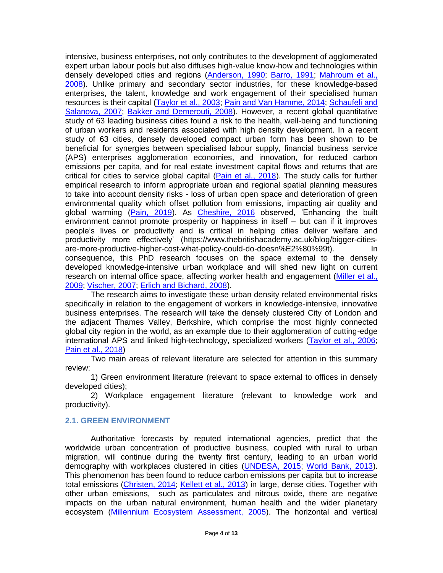intensive, business enterprises, not only contributes to the development of agglomerated expert urban labour pools but also diffuses high-value know-how and technologies within densely developed cities and regions [\(Anderson, 1990;](#page-7-2) [Barro, 1991;](#page-7-3) [Mahroum et al.,](#page-10-4)  [2008\)](#page-10-4). Unlike primary and secondary sector industries, for these knowledge-based enterprises, the talent, knowledge and work engagement of their specialised human resources is their capital [\(Taylor et al., 2003;](#page-11-5) [Pain and Van Hamme, 2014;](#page-11-6) Schaufeli and [Salanova, 2007;](#page-11-7) [Bakker and Demerouti, 2008\)](#page-7-0). However, a recent global quantitative study of 63 leading business cities found a risk to the health, well-being and functioning of urban workers and residents associated with high density development. In a recent study of 63 cities, densely developed compact urban form has been shown to be beneficial for synergies between specialised labour supply, financial business service (APS) enterprises agglomeration economies, and innovation, for reduced carbon emissions per capita, and for real estate investment capital flows and returns that are critical for cities to service global capital [\(Pain et al., 2018\)](#page-10-5). The study calls for further empirical research to inform appropriate urban and regional spatial planning measures to take into account density risks - loss of urban open space and deterioration of green environmental quality which offset pollution from emissions, impacting air quality and global warming [\(Pain, 2019\)](#page-10-1). As [Cheshire, 2016](#page-8-5) observed, 'Enhancing the built environment cannot promote prosperity or happiness in itself – but can if it improves people's lives or productivity and is critical in helping cities deliver welfare and productivity more effectively' (https://www.thebritishacademy.ac.uk/blog/bigger-citiesare-more-productive-higher-cost-what-policy-could-do-doesn%E2%80%99t). In consequence, this PhD research focuses on the space external to the densely developed knowledge-intensive urban workplace and will shed new light on current research on internal office space, affecting worker health and engagement [\(Miller et al.,](#page-10-6)  [2009;](#page-10-6) [Vischer, 2007;](#page-12-2) [Erlich and Bichard, 2008\)](#page-8-6).

The research aims to investigate these urban density related environmental risks specifically in relation to the engagement of workers in knowledge-intensive, innovative business enterprises. The research will take the densely clustered City of London and the adjacent Thames Valley, Berkshire, which comprise the most highly connected global city region in the world, as an example due to their agglomeration of cutting-edge international APS and linked high-technology, specialized workers [\(Taylor et al., 2006;](#page-11-8) [Pain et al., 2018\)](#page-10-5)

Two main areas of relevant literature are selected for attention in this summary review:

1) Green environment literature (relevant to space external to offices in densely developed cities);

2) Workplace engagement literature (relevant to knowledge work and productivity).

### **2.1. GREEN ENVIRONMENT**

Authoritative forecasts by reputed international agencies, predict that the worldwide urban concentration of productive business, coupled with rural to urban migration, will continue during the twenty first century, leading to an urban world demography with workplaces clustered in cities [\(UNDESA, 2015;](#page-11-9) [World Bank, 2013\)](#page-12-3). This phenomenon has been found to reduce carbon emissions per capita but to increase total emissions [\(Christen, 2014;](#page-8-7) [Kellett et al., 2013\)](#page-9-8) in large, dense cities. Together with other urban emissions, such as particulates and nitrous oxide, there are negative impacts on the urban natural environment, human health and the wider planetary ecosystem [\(Millennium Ecosystem Assessment, 2005\)](#page-10-7). The horizontal and vertical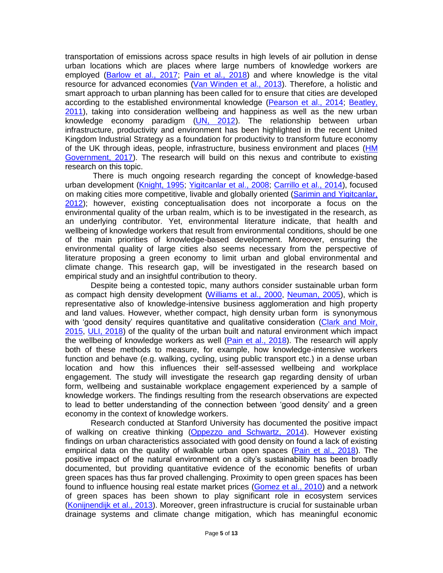transportation of emissions across space results in high levels of air pollution in dense urban locations which are places where large numbers of knowledge workers are employed [\(Barlow et al., 2017;](#page-7-4) [Pain et al., 2018\)](#page-10-8) and where knowledge is the vital resource for advanced economies [\(Van Winden et al., 2013\)](#page-12-4). Therefore, a holistic and smart approach to urban planning has been called for to ensure that cities are developed according to the established environmental knowledge [\(Pearson et al., 2014;](#page-11-10) [Beatley,](#page-7-5)  [2011\)](#page-7-5), taking into consideration wellbeing and happiness as well as the new urban knowledge economy paradigm [\(UN, 2012\)](#page-11-11). The relationship between urban infrastructure, productivity and environment has been highlighted in the recent United Kingdom Industrial Strategy as a foundation for productivity to transform future economy of the UK through ideas, people, infrastructure, business environment and places [\(HM](#page-9-9)  [Government, 2017\)](#page-9-9). The research will build on this nexus and contribute to existing research on this topic.

There is much ongoing research regarding the concept of knowledge-based urban development [\(Knight, 1995;](#page-10-8) [Yigitcanlar et al., 2008;](#page-12-5) [Carrillo et al., 2014\)](#page-8-8), focused on making cities more competitive, livable and globally oriented (Sarimin and Yigitcanlar, [2012\)](#page-11-12); however, existing conceptualisation does not incorporate a focus on the environmental quality of the urban realm, which is to be investigated in the research, as an underlying contributor. Yet, environmental literature indicate, that health and wellbeing of knowledge workers that result from environmental conditions, should be one of the main priorities of knowledge-based development. Moreover, ensuring the environmental quality of large cities also seems necessary from the perspective of literature proposing a green economy to limit urban and global environmental and climate change. This research gap, will be investigated in the research based on empirical study and an insightful contribution to theory.

Despite being a contested topic, many authors consider sustainable urban form as compact high density development [\(Williams et al., 2000,](#page-12-6) [Neuman, 2005\)](#page-10-9), which is representative also of knowledge-intensive business agglomeration and high property and land values. However, whether compact, high density urban form is synonymous with 'good density' requires quantitative and qualitative consideration (Clark and Moir, [2015,](#page-8-9) [ULI, 2018\)](#page-11-13) of the quality of the urban built and natural environment which impact the wellbeing of knowledge workers as well [\(Pain et al., 2018\)](#page-10-5). The research will apply both of these methods to measure, for example, how knowledge-intensive workers function and behave (e.g. walking, cycling, using public transport etc.) in a dense urban location and how this influences their self-assessed wellbeing and workplace engagement. The study will investigate the research gap regarding density of urban form, wellbeing and sustainable workplace engagement experienced by a sample of knowledge workers. The findings resulting from the research observations are expected to lead to better understanding of the connection between 'good density' and a green economy in the context of knowledge workers.

Research conducted at Stanford University has documented the positive impact of walking on creative thinking [\(Oppezzo and Schwartz, 2014\)](#page-10-10). However existing findings on urban characteristics associated with good density on found a lack of existing empirical data on the quality of walkable urban open spaces [\(Pain et al., 2018\)](#page-10-5). The positive impact of the natural environment on a city's sustainability has been broadly documented, but providing quantitative evidence of the economic benefits of urban green spaces has thus far proved challenging. Proximity to open green spaces has been found to influence housing real estate market prices [\(Gomez et al., 2010\)](#page-9-10) and a network of green spaces has been shown to play significant role in ecosystem services [\(Konijnendijk et al., 2013\)](#page-10-11). Moreover, green infrastructure is crucial for sustainable urban drainage systems and climate change mitigation, which has meaningful economic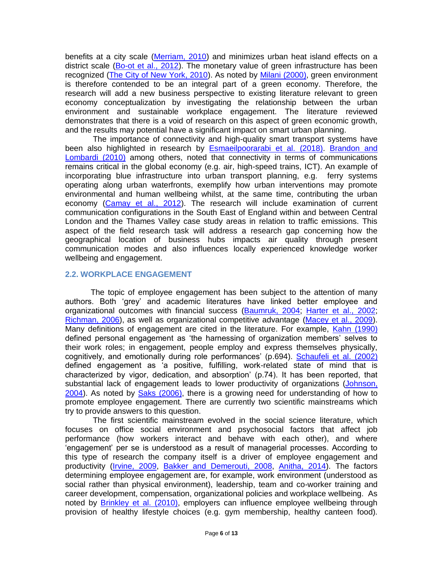benefits at a city scale [\(Merriam, 2010\)](#page-10-12) and minimizes urban heat island effects on a district scale [\(Bo-ot et al., 2012\)](#page-8-10). The monetary value of green infrastructure has been recognized [\(The City of New York, 2010\)](#page-11-14). As noted by [Milani \(2000\),](#page-10-13) green environment is therefore contended to be an integral part of a green economy. Therefore, the research will add a new business perspective to existing literature relevant to green economy conceptualization by investigating the relationship between the urban environment and sustainable workplace engagement. The literature reviewed demonstrates that there is a void of research on this aspect of green economic growth, and the results may potential have a significant impact on smart urban planning.

The importance of connectivity and high-quality smart transport systems have been also highlighted in research by [Esmaeilpoorarabi et al. \(2018\).](#page-8-11) [Brandon and](#page-8-2)  Lombardi (2010) among others, noted that connectivity in terms of communications remains critical in the global economy (e.g. air, high-speed trains, ICT). An example of incorporating blue infrastructure into urban transport planning, e.g. ferry systems operating along urban waterfronts, exemplify how urban interventions may promote environmental and human wellbeing whilst, at the same time, contributing the urban economy [\(Camay et al., 2012\)](#page-8-12). The research will include examination of current communication configurations in the South East of England within and between Central London and the Thames Valley case study areas in relation to traffic emissions. This aspect of the field research task will address a research gap concerning how the geographical location of business hubs impacts air quality through present communication modes and also influences locally experienced knowledge worker wellbeing and engagement.

## **2.2. WORKPLACE ENGAGEMENT**

The topic of employee engagement has been subject to the attention of many authors. Both 'grey' and academic literatures have linked better employee and organizational outcomes with financial success [\(Baumruk, 2004;](#page-7-6) [Harter et al., 2002;](#page-9-11) [Richman, 2006\)](#page-11-15), as well as organizational competitive advantage [\(Macey et al., 2009\)](#page-10-14). Many definitions of engagement are cited in the literature. For example, [Kahn \(1990\)](#page-9-12) defined personal engagement as 'the harnessing of organization members' selves to their work roles; in engagement, people employ and express themselves physically, cognitively, and emotionally during role performances' (p.694). [Schaufeli et al. \(2002\)](#page-11-16) defined engagement as 'a positive, fulfilling, work-related state of mind that is characterized by vigor, dedication, and absorption' (p.74). It has been reported, that substantial lack of engagement leads to lower productivity of organizations [\(Johnson,](#page-9-13)  [2004\)](#page-9-13). As noted by [Saks \(2006\),](#page-11-17) there is a growing need for understanding of how to promote employee engagement. There are currently two scientific mainstreams which try to provide answers to this question.

The first scientific mainstream evolved in the social science literature, which focuses on office social environment and psychosocial factors that affect job performance (how workers interact and behave with each other), and where 'engagement' per se is understood as a result of managerial processes. According to this type of research the company itself is a driver of employee engagement and productivity [\(Irvine, 2009,](#page-9-14) [Bakker and Demerouti, 2008,](#page-7-0) [Anitha, 2014\)](#page-7-7). The factors determining employee engagement are, for example, work environment (understood as social rather than physical environment), leadership, team and co-worker training and career development, compensation, organizational policies and workplace wellbeing. As noted by [Brinkley et al. \(2010\),](#page-8-13) employers can influence employee wellbeing through provision of healthy lifestyle choices (e.g. gym membership, healthy canteen food).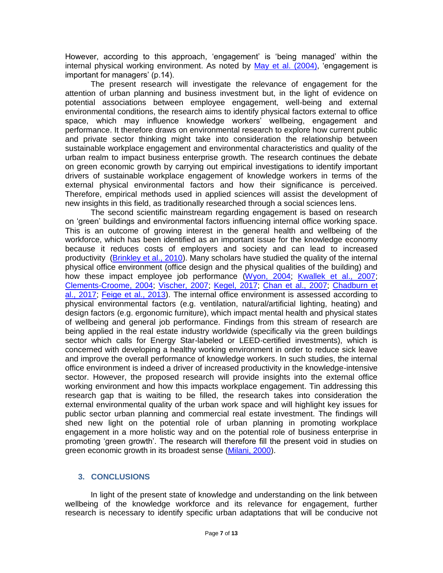However, according to this approach, 'engagement' is 'being managed' within the internal physical working environment. As noted by [May et al. \(2004\),](#page-10-15) 'engagement is important for managers' (p.14).

The present research will investigate the relevance of engagement for the attention of urban planning and business investment but, in the light of evidence on potential associations between employee engagement, well-being and external environmental conditions, the research aims to identify physical factors external to office space, which may influence knowledge workers' wellbeing, engagement and performance. It therefore draws on environmental research to explore how current public and private sector thinking might take into consideration the relationship between sustainable workplace engagement and environmental characteristics and quality of the urban realm to impact business enterprise growth. The research continues the debate on green economic growth by carrying out empirical investigations to identify important drivers of sustainable workplace engagement of knowledge workers in terms of the external physical environmental factors and how their significance is perceived. Therefore, empirical methods used in applied sciences will assist the development of new insights in this field, as traditionally researched through a social sciences lens.

The second scientific mainstream regarding engagement is based on research on 'green' buildings and environmental factors influencing internal office working space. This is an outcome of growing interest in the general health and wellbeing of the workforce, which has been identified as an important issue for the knowledge economy because it reduces costs of employers and society and can lead to increased productivity [\(Brinkley et al., 2010\)](#page-8-13). Many scholars have studied the quality of the internal physical office environment (office design and the physical qualities of the building) and how these impact employee job performance [\(Wyon, 2004;](#page-12-7) [Kwallek et al., 2007;](#page-10-16) [Clements-Croome, 2004;](#page-8-14) [Vischer, 2007;](#page-12-2) [Kegel, 2017;](#page-9-15) [Chan et al., 2007;](#page-8-15) [Chadburn et](#page-8-16)  [al., 2017;](#page-8-16) [Feige et al., 2013\)](#page-8-17). The internal office environment is assessed according to physical environmental factors (e.g. ventilation, natural/artificial lighting, heating) and design factors (e.g. ergonomic furniture), which impact mental health and physical states of wellbeing and general job performance. Findings from this stream of research are being applied in the real estate industry worldwide (specifically via the green buildings sector which calls for Energy Star-labeled or LEED-certified investments), which is concerned with developing a healthy working environment in order to reduce sick leave and improve the overall performance of knowledge workers. In such studies, the internal office environment is indeed a driver of increased productivity in the knowledge-intensive sector. However, the proposed research will provide insights into the external office working environment and how this impacts workplace engagement. Tin addressing this research gap that is waiting to be filled, the research takes into consideration the external environmental quality of the urban work space and will highlight key issues for public sector urban planning and commercial real estate investment. The findings will shed new light on the potential role of urban planning in promoting workplace engagement in a more holistic way and on the potential role of business enterprise in promoting 'green growth'. The research will therefore fill the present void in studies on green economic growth in its broadest sense [\(Milani, 2000\)](#page-10-13).

## **3. CONCLUSIONS**

In light of the present state of knowledge and understanding on the link between wellbeing of the knowledge workforce and its relevance for engagement, further research is necessary to identify specific urban adaptations that will be conducive not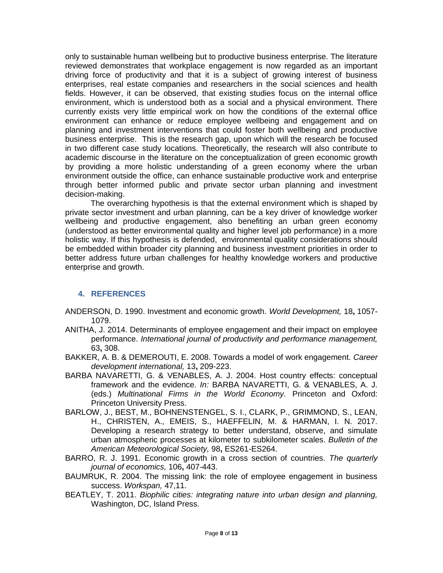only to sustainable human wellbeing but to productive business enterprise. The literature reviewed demonstrates that workplace engagement is now regarded as an important driving force of productivity and that it is a subject of growing interest of business enterprises, real estate companies and researchers in the social sciences and health fields. However, it can be observed, that existing studies focus on the internal office environment, which is understood both as a social and a physical environment. There currently exists very little empirical work on how the conditions of the external office environment can enhance or reduce employee wellbeing and engagement and on planning and investment interventions that could foster both wellbeing and productive business enterprise. This is the research gap, upon which will the research be focused in two different case study locations. Theoretically, the research will also contribute to academic discourse in the literature on the conceptualization of green economic growth by providing a more holistic understanding of a green economy where the urban environment outside the office, can enhance sustainable productive work and enterprise through better informed public and private sector urban planning and investment decision-making.

The overarching hypothesis is that the external environment which is shaped by private sector investment and urban planning, can be a key driver of knowledge worker wellbeing and productive engagement, also benefiting an urban green economy (understood as better environmental quality and higher level job performance) in a more holistic way. If this hypothesis is defended, environmental quality considerations should be embedded within broader city planning and business investment priorities in order to better address future urban challenges for healthy knowledge workers and productive enterprise and growth.

## **4. REFERENCES**

- <span id="page-7-2"></span>ANDERSON, D. 1990. Investment and economic growth. *World Development,* 18**,** 1057- 1079.
- <span id="page-7-7"></span>ANITHA, J. 2014. Determinants of employee engagement and their impact on employee performance. *International journal of productivity and performance management,* 63**,** 308.
- <span id="page-7-0"></span>BAKKER, A. B. & DEMEROUTI, E. 2008. Towards a model of work engagement. *Career development international,* 13**,** 209-223.
- <span id="page-7-1"></span>BARBA NAVARETTI, G. & VENABLES, A. J. 2004. Host country effects: conceptual framework and the evidence. *In:* BARBA NAVARETTI, G. & VENABLES, A. J. (eds.) *Multinational Firms in the World Economy.* Princeton and Oxford: Princeton University Press.
- <span id="page-7-4"></span>BARLOW, J., BEST, M., BOHNENSTENGEL, S. I., CLARK, P., GRIMMOND, S., LEAN, H., CHRISTEN, A., EMEIS, S., HAEFFELIN, M. & HARMAN, I. N. 2017. Developing a research strategy to better understand, observe, and simulate urban atmospheric processes at kilometer to subkilometer scales. *Bulletin of the American Meteorological Society,* 98**,** ES261-ES264.
- <span id="page-7-3"></span>BARRO, R. J. 1991. Economic growth in a cross section of countries. *The quarterly journal of economics,* 106**,** 407-443.
- <span id="page-7-6"></span>BAUMRUK, R. 2004. The missing link: the role of employee engagement in business success. *Workspan,* 47,11.
- <span id="page-7-5"></span>BEATLEY, T. 2011. *Biophilic cities: integrating nature into urban design and planning,*  Washington, DC, Island Press.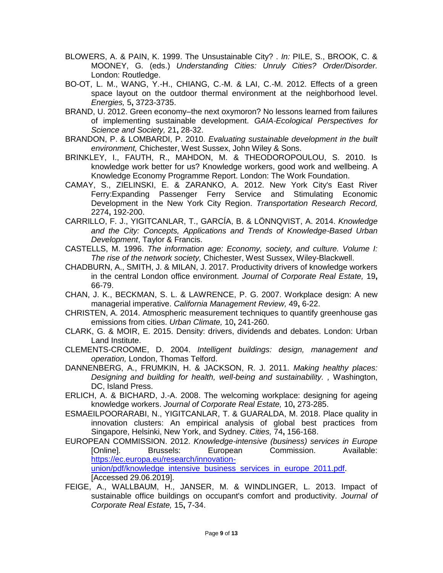- <span id="page-8-3"></span>BLOWERS, A. & PAIN, K. 1999. The Unsustainable City? . *In:* PILE, S., BROOK, C. & MOONEY, G. (eds.) *Understanding Cities: Unruly Cities? Order/Disorder.* London: Routledge.
- <span id="page-8-10"></span>BO-OT, L. M., WANG, Y.-H., CHIANG, C.-M. & LAI, C.-M. 2012. Effects of a green space layout on the outdoor thermal environment at the neighborhood level. *Energies,* 5**,** 3723-3735.
- <span id="page-8-4"></span>BRAND, U. 2012. Green economy–the next oxymoron? No lessons learned from failures of implementing sustainable development. *GAIA-Ecological Perspectives for Science and Society,* 21**,** 28-32.
- <span id="page-8-2"></span>BRANDON, P. & LOMBARDI, P. 2010. *Evaluating sustainable development in the built environment,* Chichester, West Sussex, John Wiley & Sons.
- <span id="page-8-13"></span>BRINKLEY, I., FAUTH, R., MAHDON, M. & THEODOROPOULOU, S. 2010. Is knowledge work better for us? Knowledge workers, good work and wellbeing. A Knowledge Economy Programme Report. London: The Work Foundation.
- <span id="page-8-12"></span>CAMAY, S., ZIELINSKI, E. & ZARANKO, A. 2012. New York City's East River Ferry:Expanding Passenger Ferry Service and Stimulating Economic Development in the New York City Region. *Transportation Research Record,* 2274**,** 192-200.
- <span id="page-8-8"></span>CARRILLO, F. J., YIGITCANLAR, T., GARCÍA, B. & LÖNNQVIST, A. 2014. *Knowledge and the City: Concepts, Applications and Trends of Knowledge-Based Urban Development*, Taylor & Francis.
- <span id="page-8-5"></span>CASTELLS, M. 1996. *The information age: Economy, society, and culture. Volume I: The rise of the network society,* Chichester, West Sussex, Wiley-Blackwell.
- <span id="page-8-16"></span>CHADBURN, A., SMITH, J. & MILAN, J. 2017. Productivity drivers of knowledge workers in the central London office environment. *Journal of Corporate Real Estate,* 19**,** 66-79.
- <span id="page-8-15"></span>CHAN, J. K., BECKMAN, S. L. & LAWRENCE, P. G. 2007. Workplace design: A new managerial imperative. *California Management Review,* 49**,** 6-22.
- <span id="page-8-7"></span>CHRISTEN, A. 2014. Atmospheric measurement techniques to quantify greenhouse gas emissions from cities. *Urban Climate,* 10**,** 241-260.
- <span id="page-8-9"></span>CLARK, G. & MOIR, E. 2015. Density: drivers, dividends and debates. London: Urban Land Institute.
- <span id="page-8-14"></span>CLEMENTS-CROOME, D. 2004. *Intelligent buildings: design, management and operation,* London, Thomas Telford.
- <span id="page-8-1"></span>DANNENBERG, A., FRUMKIN, H. & JACKSON, R. J. 2011. *Making healthy places: Designing and building for health, well-being and sustainability. ,* Washington, DC, Island Press.
- <span id="page-8-6"></span>ERLICH, A. & BICHARD, J.-A. 2008. The welcoming workplace: designing for ageing knowledge workers. *Journal of Corporate Real Estate,* 10**,** 273-285.
- <span id="page-8-11"></span>ESMAEILPOORARABI, N., YIGITCANLAR, T. & GUARALDA, M. 2018. Place quality in innovation clusters: An empirical analysis of global best practices from Singapore, Helsinki, New York, and Sydney. *Cities,* 74**,** 156-168.
- <span id="page-8-0"></span>EUROPEAN COMMISSION. 2012. *Knowledge-intensive (business) services in Europe*  [Online]. Brussels: European Commission. Available: [https://ec.europa.eu/research/innovation](https://ec.europa.eu/research/innovation-union/pdf/knowledge_intensive_business_services_in_europe_2011.pdf)[union/pdf/knowledge\\_intensive\\_business\\_services\\_in\\_europe\\_2011.pdf.](https://ec.europa.eu/research/innovation-union/pdf/knowledge_intensive_business_services_in_europe_2011.pdf) [Accessed 29.06.2019].
- <span id="page-8-17"></span>FEIGE, A., WALLBAUM, H., JANSER, M. & WINDLINGER, L. 2013. Impact of sustainable office buildings on occupant's comfort and productivity. *Journal of Corporate Real Estate,* 15**,** 7-34.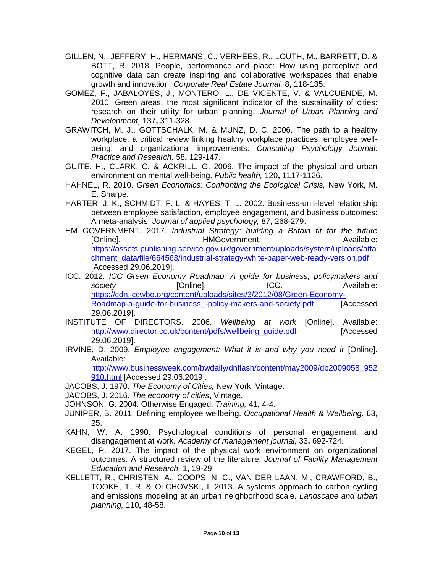- <span id="page-9-3"></span>GILLEN, N., JEFFERY, H., HERMANS, C., VERHEES, R., LOUTH, M., BARRETT, D. & BOTT, R. 2018. People, performance and place: How using perceptive and cognitive data can create inspiring and collaborative workspaces that enable growth and innovation. *Corporate Real Estate Journal,* 8**,** 118-135.
- <span id="page-9-10"></span>GOMEZ, F., JABALOYES, J., MONTERO, L., DE VICENTE, V. & VALCUENDE, M. 2010. Green areas, the most significant indicator of the sustainaility of cities: research on their utility for urban planning. *Journal of Urban Planning and Development,* 137**,** 311-328.
- <span id="page-9-0"></span>GRAWITCH, M. J., GOTTSCHALK, M. & MUNZ, D. C. 2006. The path to a healthy workplace: a critical review linking healthy workplace practices, employee wellbeing, and organizational improvements. *Consulting Psychology Journal: Practice and Research,* 58**,** 129-147.
- <span id="page-9-4"></span>GUITE, H., CLARK, C. & ACKRILL, G. 2006. The impact of the physical and urban environment on mental well-being. *Public health,* 120**,** 1117-1126.
- <span id="page-9-5"></span>HAHNEL, R. 2010. *Green Economics: Confronting the Ecological Crisis,* New York, M. E. Sharpe.
- <span id="page-9-11"></span>HARTER, J. K., SCHMIDT, F. L. & HAYES, T. L. 2002. Business-unit-level relationship between employee satisfaction, employee engagement, and business outcomes: A meta-analysis. *Journal of applied psychology,* 87**,** 268-279.
- <span id="page-9-9"></span>HM GOVERNMENT. 2017. *Industrial Strategy: building a Britain fit for the future*  [Online]. The example of the HMGovernment. The example of the Available: [https://assets.publishing.service.gov.uk/government/uploads/system/uploads/atta](https://assets.publishing.service.gov.uk/government/uploads/system/uploads/attachment_data/file/664563/industrial-strategy-white-paper-web-ready-version.pdf) [chment\\_data/file/664563/industrial-strategy-white-paper-web-ready-version.pdf](https://assets.publishing.service.gov.uk/government/uploads/system/uploads/attachment_data/file/664563/industrial-strategy-white-paper-web-ready-version.pdf) [Accessed 29.06.2019].
- <span id="page-9-6"></span>ICC. 2012. *ICC Green Economy Roadmap. A guide for business, policymakers and*  **society and Society [Online]. ICC. Available: Available: Propose** [https://cdn.iccwbo.org/content/uploads/sites/3/2012/08/Green-Economy-](https://cdn.iccwbo.org/content/uploads/sites/3/2012/08/Green-Economy-Roadmap-a-guide-for-business_-policy-makers-and-society.pdf)[Roadmap-a-guide-for-business\\_-policy-makers-and-society.pdf](https://cdn.iccwbo.org/content/uploads/sites/3/2012/08/Green-Economy-Roadmap-a-guide-for-business_-policy-makers-and-society.pdf) [Accessed 29.06.2019].
- <span id="page-9-1"></span>INSTITUTE OF DIRECTORS. 2006. *Wellbeing at work* [Online]. Available: http://www.director.co.uk/content/pdfs/wellbeing\_quide.pdf [Accessed] 29.06.2019].
- <span id="page-9-14"></span>IRVINE, D. 2009. *Employee engagement: What it is and why you need it* [Online]. Available:

[http://www.businessweek.com/bwdaily/dnflash/content/may2009/db2009058\\_952](http://www.businessweek.com/bwdaily/dnflash/content/may2009/db2009058_952910.html) [910.html](http://www.businessweek.com/bwdaily/dnflash/content/may2009/db2009058_952910.html) [Accessed 29.06.2019].

- <span id="page-9-7"></span>JACOBS, J. 1970. *The Economy of Cities,* New York, Vintage.
- JACOBS, J. 2016. *The economy of cities*, Vintage.
- <span id="page-9-13"></span>JOHNSON, G. 2004. Otherwise Engaged. *Training,* 41**,** 4-4.
- <span id="page-9-2"></span>JUNIPER, B. 2011. Defining employee wellbeing. *Occupational Health & Wellbeing,* 63**,** 25.
- <span id="page-9-12"></span>KAHN, W. A. 1990. Psychological conditions of personal engagement and disengagement at work. *Academy of management journal,* 33**,** 692-724.
- <span id="page-9-15"></span>KEGEL, P. 2017. The impact of the physical work environment on organizational outcomes: A structured review of the literature. *Journal of Facility Management Education and Research,* 1**,** 19-29.
- <span id="page-9-8"></span>KELLETT, R., CHRISTEN, A., COOPS, N. C., VAN DER LAAN, M., CRAWFORD, B., TOOKE, T. R. & OLCHOVSKI, I. 2013. A systems approach to carbon cycling and emissions modeling at an urban neighborhood scale. *Landscape and urban planning,* 110**,** 48-58.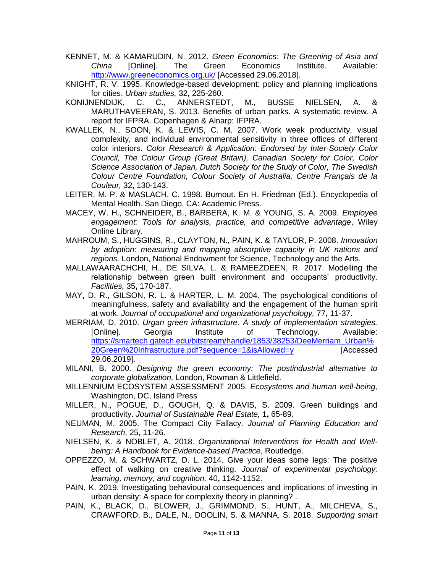- <span id="page-10-3"></span>KENNET, M. & KAMARUDIN, N. 2012. *Green Economics: The Greening of Asia and China* [Online]. The Green Economics Institute. Available: <http://www.greeneconomics.org.uk/> [Accessed 29.06.2018].
- <span id="page-10-8"></span>KNIGHT, R. V. 1995. Knowledge-based development: policy and planning implications for cities. *Urban studies,* 32**,** 225-260.
- <span id="page-10-11"></span>KONIJNENDIJK, C. C., ANNERSTEDT, M., BUSSE NIELSEN, A. & MARUTHAVEERAN, S. 2013. Benefits of urban parks. A systematic review. A report for IFPRA. Copenhagen & Alnarp: IFPRA.
- <span id="page-10-16"></span>KWALLEK, N., SOON, K. & LEWIS, C. M. 2007. Work week productivity, visual complexity, and individual environmental sensitivity in three offices of different color interiors. *Color Research & Application: Endorsed by Inter‐Society Color Council, The Colour Group (Great Britain), Canadian Society for Color, Color Science Association of Japan, Dutch Society for the Study of Color, The Swedish Colour Centre Foundation, Colour Society of Australia, Centre Français de la Couleur,* 32**,** 130-143.
- LEITER, M. P. & MASLACH, C. 1998. Burnout. En H. Friedman (Ed.). Encyclopedia of Mental Health. San Diego, CA: Academic Press.
- <span id="page-10-14"></span>MACEY, W. H., SCHNEIDER, B., BARBERA, K. M. & YOUNG, S. A. 2009. *Employee engagement: Tools for analysis, practice, and competitive advantage*, Wiley Online Library.
- <span id="page-10-4"></span>MAHROUM, S., HUGGINS, R., CLAYTON, N., PAIN, K. & TAYLOR, P. 2008. *Innovation by adoption: measuring and mapping absorptive capacity in UK nations and regions,* London, National Endowment for Science, Technology and the Arts.
- <span id="page-10-2"></span>MALLAWAARACHCHI, H., DE SILVA, L. & RAMEEZDEEN, R. 2017. Modelling the relationship between green built environment and occupants' productivity. *Facilities,* 35**,** 170-187.
- <span id="page-10-15"></span>MAY, D. R., GILSON, R. L. & HARTER, L. M. 2004. The psychological conditions of meaningfulness, safety and availability and the engagement of the human spirit at work. *Journal of occupational and organizational psychology,* 77**,** 11-37.
- <span id="page-10-12"></span>MERRIAM, D. 2010. *Urgan green infrastructure. A study of implementation strategies.*  [Online]. Georgia Institute of Technology. Available: [https://smartech.gatech.edu/bitstream/handle/1853/38253/DeeMerriam\\_Urban%](https://smartech.gatech.edu/bitstream/handle/1853/38253/DeeMerriam_Urban%20Green%20Infrastructure.pdf?sequence=1&isAllowed=y) [20Green%20Infrastructure.pdf?sequence=1&isAllowed=y](https://smartech.gatech.edu/bitstream/handle/1853/38253/DeeMerriam_Urban%20Green%20Infrastructure.pdf?sequence=1&isAllowed=y) [Accessed 29.06.2019].
- <span id="page-10-13"></span>MILANI, B. 2000. *Designing the green economy: The postindustrial alternative to corporate globalization,* London, Rowman & Littlefield.
- <span id="page-10-7"></span>MILLENNIUM ECOSYSTEM ASSESSMENT 2005. *Ecosystems and human well-being,*  Washington, DC, Island Press
- <span id="page-10-6"></span>MILLER, N., POGUE, D., GOUGH, Q. & DAVIS, S. 2009. Green buildings and productivity. *Journal of Sustainable Real Estate,* 1**,** 65-89.
- <span id="page-10-9"></span>NEUMAN, M. 2005. The Compact City Fallacy. *Journal of Planning Education and Research,* 25**,** 11-26.
- <span id="page-10-0"></span>NIELSEN, K. & NOBLET, A. 2018. *Organizational Interventions for Health and Wellbeing: A Handbook for Evidence-based Practice*, Routledge.
- <span id="page-10-10"></span>OPPEZZO, M. & SCHWARTZ, D. L. 2014. Give your ideas some legs: The positive effect of walking on creative thinking. *Journal of experimental psychology: learning, memory, and cognition,* 40**,** 1142-1152.
- <span id="page-10-1"></span>PAIN, K. 2019. Investigating behavioural consequences and implications of investing in urban density: A space for complexity theory in planning? .
- <span id="page-10-5"></span>PAIN, K., BLACK, D., BLOWER, J., GRIMMOND, S., HUNT, A., MILCHEVA, S., CRAWFORD, B., DALE, N., DOOLIN, S. & MANNA, S. 2018. *Supporting smart*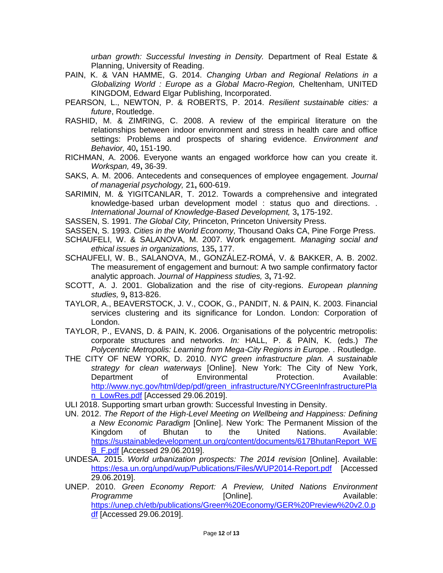*urban growth: Successful Investing in Density.* Department of Real Estate & Planning, University of Reading.

- <span id="page-11-6"></span>PAIN, K. & VAN HAMME, G. 2014. *Changing Urban and Regional Relations in a Globalizing World : Europe as a Global Macro-Region,* Cheltenham, UNITED KINGDOM, Edward Elgar Publishing, Incorporated.
- <span id="page-11-10"></span>PEARSON, L., NEWTON, P. & ROBERTS, P. 2014. *Resilient sustainable cities: a future*, Routledge.
- <span id="page-11-0"></span>RASHID, M. & ZIMRING, C. 2008. A review of the empirical literature on the relationships between indoor environment and stress in health care and office settings: Problems and prospects of sharing evidence. *Environment and Behavior,* 40**,** 151-190.
- <span id="page-11-15"></span>RICHMAN, A. 2006. Everyone wants an engaged workforce how can you create it. *Workspan,* 49**,** 36-39.
- <span id="page-11-17"></span>SAKS, A. M. 2006. Antecedents and consequences of employee engagement. *Journal of managerial psychology,* 21**,** 600-619.
- <span id="page-11-12"></span>SARIMIN, M. & YIGITCANLAR, T. 2012. Towards a comprehensive and integrated knowledge-based urban development model : status quo and directions. . *International Journal of Knowledge-Based Development,* 3**,** 175-192.

<span id="page-11-2"></span>SASSEN, S. 1991. *The Global City,* Princeton, Princeton University Press.

- <span id="page-11-3"></span>SASSEN, S. 1993. *Cities in the World Economy,* Thousand Oaks CA, Pine Forge Press.
- <span id="page-11-7"></span>SCHAUFELI, W. & SALANOVA, M. 2007. Work engagement. *Managing social and ethical issues in organizations,* 135**,** 177.
- <span id="page-11-16"></span>SCHAUFELI, W. B., SALANOVA, M., GONZÁLEZ-ROMÁ, V. & BAKKER, A. B. 2002. The measurement of engagement and burnout: A two sample confirmatory factor analytic approach. *Journal of Happiness studies,* 3**,** 71-92.
- <span id="page-11-4"></span>SCOTT, A. J. 2001. Globalization and the rise of city-regions. *European planning studies,* 9**,** 813-826.
- <span id="page-11-5"></span>TAYLOR, A., BEAVERSTOCK, J. V., COOK, G., PANDIT, N. & PAIN, K. 2003. Financial services clustering and its significance for London. London: Corporation of London.
- <span id="page-11-8"></span>TAYLOR, P., EVANS, D. & PAIN, K. 2006. Organisations of the polycentric metropolis: corporate structures and networks. *In:* HALL, P. & PAIN, K. (eds.) *The Polycentric Metropolis: Learning from Mega-City Regions in Europe. .* Routledge.
- <span id="page-11-14"></span>THE CITY OF NEW YORK, D. 2010. *NYC green infrastructure plan. A sustainable strategy for clean waterways* [Online]. New York: The City of New York, Department of Environmental Protection. Available: [http://www.nyc.gov/html/dep/pdf/green\\_infrastructure/NYCGreenInfrastructurePla](http://www.nyc.gov/html/dep/pdf/green_infrastructure/NYCGreenInfrastructurePlan_LowRes.pdf) [n\\_LowRes.pdf](http://www.nyc.gov/html/dep/pdf/green_infrastructure/NYCGreenInfrastructurePlan_LowRes.pdf) [Accessed 29.06.2019].
- <span id="page-11-13"></span>ULI 2018. Supporting smart urban growth: Successful Investing in Density.
- <span id="page-11-11"></span>UN. 2012. *The Report of the High-Level Meeting on Wellbeing and Happiness: Defining a New Economic Paradigm* [Online]. New York: The Permanent Mission of the Kingdom of Bhutan to the United Nations. Available: [https://sustainabledevelopment.un.org/content/documents/617BhutanReport\\_WE](https://sustainabledevelopment.un.org/content/documents/617BhutanReport_WEB_F.pdf) **[B\\_F.pdf](https://sustainabledevelopment.un.org/content/documents/617BhutanReport_WEB_F.pdf)** [Accessed 29.06.2019].
- <span id="page-11-9"></span>UNDESA. 2015. *World urbanization prospects: The 2014 revision* [Online]. Available: <https://esa.un.org/unpd/wup/Publications/Files/WUP2014-Report.pdf> [Accessed 29.06.2019].
- <span id="page-11-1"></span>UNEP. 2010. *Green Economy Report: A Preview, United Nations Environment*  **Programme [Online]. CONLINES** *Programme* **Available:** [https://unep.ch/etb/publications/Green%20Economy/GER%20Preview%20v2.0.p](https://unep.ch/etb/publications/Green%20Economy/GER%20Preview%20v2.0.pdf) [df](https://unep.ch/etb/publications/Green%20Economy/GER%20Preview%20v2.0.pdf) [Accessed 29.06.2019].